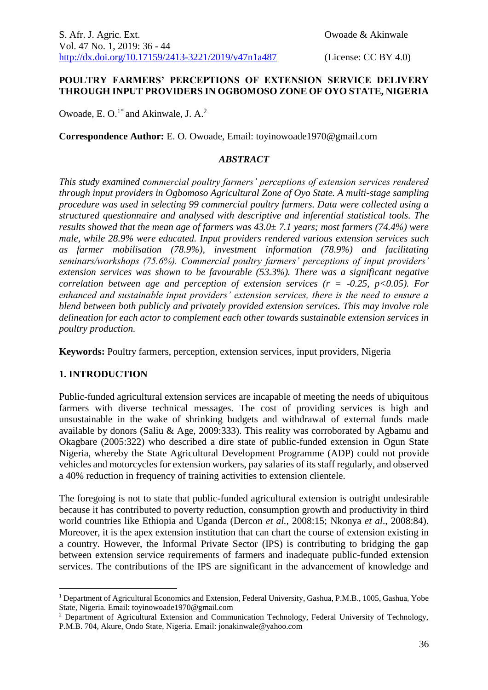#### **POULTRY FARMERS' PERCEPTIONS OF EXTENSION SERVICE DELIVERY THROUGH INPUT PROVIDERS IN OGBOMOSO ZONE OF OYO STATE, NIGERIA**

Owoade, E. O. $1^*$  and Akinwale, J. A. $^2$ 

**Correspondence Author:** E. O. Owoade, Email: toyinowoade1970@gmail.com

#### *ABSTRACT*

*This study examined commercial poultry farmers' perceptions of extension services rendered through input providers in Ogbomoso Agricultural Zone of Oyo State. A multi-stage sampling procedure was used in selecting 99 commercial poultry farmers. Data were collected using a structured questionnaire and analysed with descriptive and inferential statistical tools. The results showed that the mean age of farmers was 43.0± 7.1 years; most farmers (74.4%) were male, while 28.9% were educated. Input providers rendered various extension services such as farmer mobilisation (78.9%), investment information (78.9%) and facilitating seminars/workshops (75.6%). Commercial poultry farmers' perceptions of input providers' extension services was shown to be favourable (53.3%). There was a significant negative correlation between age and perception of extension services (* $r = -0.25$ *, p<0.05). For enhanced and sustainable input providers' extension services, there is the need to ensure a blend between both publicly and privately provided extension services. This may involve role delineation for each actor to complement each other towards sustainable extension services in poultry production.*

**Keywords:** Poultry farmers, perception, extension services, input providers, Nigeria

# **1. INTRODUCTION**

<u>.</u>

Public-funded agricultural extension services are incapable of meeting the needs of ubiquitous farmers with diverse technical messages. The cost of providing services is high and unsustainable in the wake of shrinking budgets and withdrawal of external funds made available by donors (Saliu & Age, 2009:333). This reality was corroborated by Agbamu and Okagbare (2005:322) who described a dire state of public-funded extension in Ogun State Nigeria, whereby the State Agricultural Development Programme (ADP) could not provide vehicles and motorcycles for extension workers, pay salaries of its staff regularly, and observed a 40% reduction in frequency of training activities to extension clientele.

The foregoing is not to state that public-funded agricultural extension is outright undesirable because it has contributed to poverty reduction, consumption growth and productivity in third world countries like Ethiopia and Uganda (Dercon *et al.,* 2008:15; Nkonya *et al*., 2008:84). Moreover, it is the apex extension institution that can chart the course of extension existing in a country. However, the Informal Private Sector (IPS) is contributing to bridging the gap between extension service requirements of farmers and inadequate public-funded extension services. The contributions of the IPS are significant in the advancement of knowledge and

<sup>&</sup>lt;sup>1</sup> Department of Agricultural Economics and Extension, Federal University, Gashua, P.M.B., 1005, Gashua, Yobe State, Nigeria. Email: toyinowoade1970@gmail.com

<sup>2</sup> Department of Agricultural Extension and Communication Technology, Federal University of Technology, P.M.B. 704, Akure, Ondo State, Nigeria. Email: jonakinwale@yahoo.com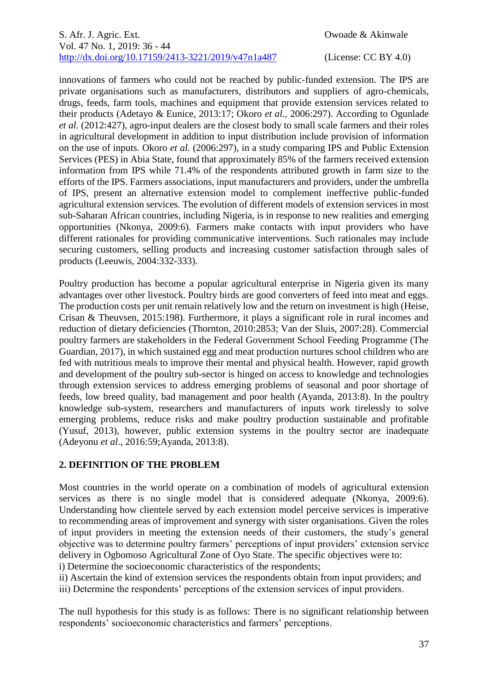innovations of farmers who could not be reached by public-funded extension. The IPS are private organisations such as manufacturers, distributors and suppliers of agro-chemicals, drugs, feeds, farm tools, machines and equipment that provide extension services related to their products (Adetayo & Eunice, 2013:17; Okoro *et al.,* 2006:297). According to Ogunlade *et al.* (2012:427), agro-input dealers are the closest body to small scale farmers and their roles in agricultural development in addition to input distribution include provision of information on the use of inputs. Okoro *et al.* (2006:297), in a study comparing IPS and Public Extension Services (PES) in Abia State, found that approximately 85% of the farmers received extension information from IPS while 71.4% of the respondents attributed growth in farm size to the efforts of the IPS. Farmers associations, input manufacturers and providers, under the umbrella of IPS, present an alternative extension model to complement ineffective public-funded agricultural extension services. The evolution of different models of extension services in most sub-Saharan African countries, including Nigeria, is in response to new realities and emerging opportunities (Nkonya, 2009:6). Farmers make contacts with input providers who have different rationales for providing communicative interventions. Such rationales may include securing customers, selling products and increasing customer satisfaction through sales of products (Leeuwis, 2004:332-333).

Poultry production has become a popular agricultural enterprise in Nigeria given its many advantages over other livestock. Poultry birds are good converters of feed into meat and eggs. The production costs per unit remain relatively low and the return on investment is high (Heise, Crisan & Theuvsen, 2015:198). Furthermore, it plays a significant role in rural incomes and reduction of dietary deficiencies (Thornton, 2010:2853; Van der Sluis, 2007:28). Commercial poultry farmers are stakeholders in the Federal Government School Feeding Programme (The Guardian, 2017), in which sustained egg and meat production nurtures school children who are fed with nutritious meals to improve their mental and physical health. However, rapid growth and development of the poultry sub-sector is hinged on access to knowledge and technologies through extension services to address emerging problems of seasonal and poor shortage of feeds, low breed quality, bad management and poor health (Ayanda, 2013:8). In the poultry knowledge sub-system, researchers and manufacturers of inputs work tirelessly to solve emerging problems, reduce risks and make poultry production sustainable and profitable (Yusuf, 2013), however, public extension systems in the poultry sector are inadequate (Adeyonu *et al*., 2016:59;Ayanda, 2013:8).

# **2. DEFINITION OF THE PROBLEM**

Most countries in the world operate on a combination of models of agricultural extension services as there is no single model that is considered adequate (Nkonya, 2009:6). Understanding how clientele served by each extension model perceive services is imperative to recommending areas of improvement and synergy with sister organisations. Given the roles of input providers in meeting the extension needs of their customers, the study's general objective was to determine poultry farmers' perceptions of input providers' extension service delivery in Ogbomoso Agricultural Zone of Oyo State. The specific objectives were to:

i) Determine the socioeconomic characteristics of the respondents;

ii) Ascertain the kind of extension services the respondents obtain from input providers; and iii) Determine the respondents' perceptions of the extension services of input providers.

The null hypothesis for this study is as follows: There is no significant relationship between respondents' socioeconomic characteristics and farmers' perceptions.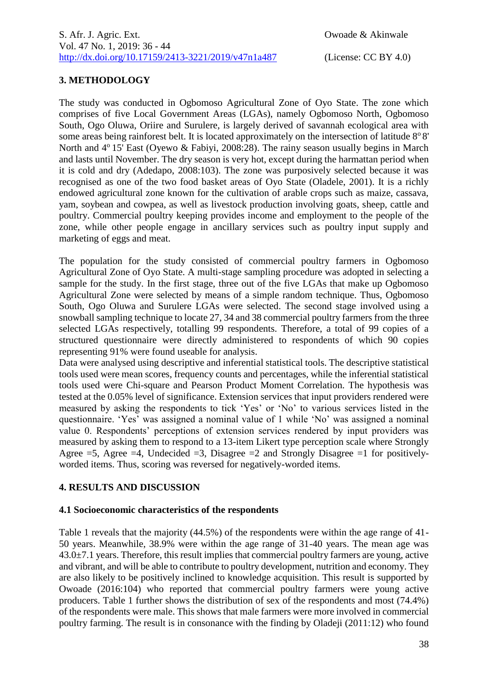# **3. METHODOLOGY**

The study was conducted in Ogbomoso Agricultural Zone of Oyo State. The zone which comprises of five Local Government Areas (LGAs), namely Ogbomoso North, Ogbomoso South, Ogo Oluwa, Oriire and Surulere, is largely derived of savannah ecological area with some areas being rainforest belt. It is located approximately on the intersection of latitude  $8^{\circ}8'$ North and  $4^{\circ}$  15' East (Oyewo & Fabiyi, 2008:28). The rainy season usually begins in March and lasts until November. The dry season is very hot, except during the harmattan period when it is cold and dry (Adedapo, 2008:103). The zone was purposively selected because it was recognised as one of the two food basket areas of Oyo State (Oladele, 2001). It is a richly endowed agricultural zone known for the cultivation of arable crops such as maize, cassava, yam, soybean and cowpea, as well as livestock production involving goats, sheep, cattle and poultry. Commercial poultry keeping provides income and employment to the people of the zone, while other people engage in ancillary services such as poultry input supply and marketing of eggs and meat.

The population for the study consisted of commercial poultry farmers in Ogbomoso Agricultural Zone of Oyo State. A multi-stage sampling procedure was adopted in selecting a sample for the study. In the first stage, three out of the five LGAs that make up Ogbomoso Agricultural Zone were selected by means of a simple random technique. Thus, Ogbomoso South, Ogo Oluwa and Surulere LGAs were selected. The second stage involved using a snowball sampling technique to locate 27, 34 and 38 commercial poultry farmers from the three selected LGAs respectively, totalling 99 respondents. Therefore, a total of 99 copies of a structured questionnaire were directly administered to respondents of which 90 copies representing 91% were found useable for analysis.

Data were analysed using descriptive and inferential statistical tools. The descriptive statistical tools used were mean scores, frequency counts and percentages, while the inferential statistical tools used were Chi-square and Pearson Product Moment Correlation. The hypothesis was tested at the 0.05% level of significance. Extension services that input providers rendered were measured by asking the respondents to tick 'Yes' or 'No' to various services listed in the questionnaire. 'Yes' was assigned a nominal value of 1 while 'No' was assigned a nominal value 0. Respondents' perceptions of extension services rendered by input providers was measured by asking them to respond to a 13-item Likert type perception scale where Strongly Agree  $=$  5, Agree  $=$  4, Undecided  $=$  3, Disagree  $=$  2 and Strongly Disagree  $=$  1 for positivelyworded items. Thus, scoring was reversed for negatively-worded items.

# **4. RESULTS AND DISCUSSION**

# **4.1 Socioeconomic characteristics of the respondents**

Table 1 reveals that the majority (44.5%) of the respondents were within the age range of 41- 50 years. Meanwhile, 38.9% were within the age range of 31-40 years. The mean age was  $43.0\pm7.1$  years. Therefore, this result implies that commercial poultry farmers are young, active and vibrant, and will be able to contribute to poultry development, nutrition and economy. They are also likely to be positively inclined to knowledge acquisition. This result is supported by Owoade (2016:104) who reported that commercial poultry farmers were young active producers. Table 1 further shows the distribution of sex of the respondents and most (74.4%) of the respondents were male. This shows that male farmers were more involved in commercial poultry farming. The result is in consonance with the finding by Oladeji (2011:12) who found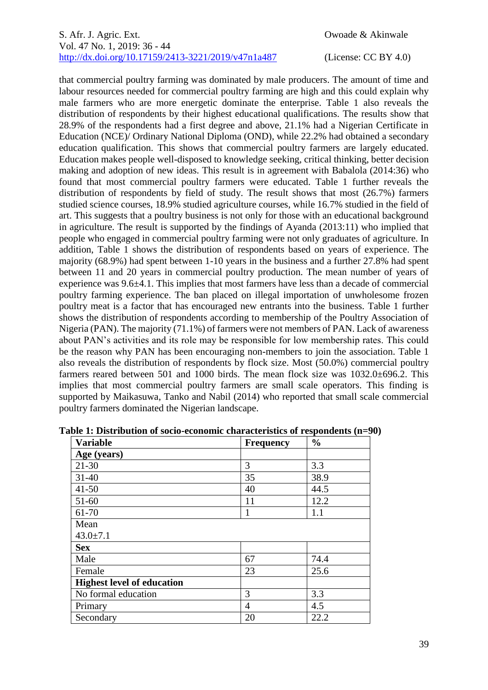that commercial poultry farming was dominated by male producers. The amount of time and labour resources needed for commercial poultry farming are high and this could explain why male farmers who are more energetic dominate the enterprise. Table 1 also reveals the distribution of respondents by their highest educational qualifications. The results show that 28.9% of the respondents had a first degree and above, 21.1% had a Nigerian Certificate in Education (NCE)/ Ordinary National Diploma (OND), while 22.2% had obtained a secondary education qualification. This shows that commercial poultry farmers are largely educated. Education makes people well-disposed to knowledge seeking, critical thinking, better decision making and adoption of new ideas. This result is in agreement with Babalola (2014:36) who found that most commercial poultry farmers were educated. Table 1 further reveals the distribution of respondents by field of study. The result shows that most (26.7%) farmers studied science courses, 18.9% studied agriculture courses, while 16.7% studied in the field of art. This suggests that a poultry business is not only for those with an educational background in agriculture. The result is supported by the findings of Ayanda (2013:11) who implied that people who engaged in commercial poultry farming were not only graduates of agriculture. In addition, Table 1 shows the distribution of respondents based on years of experience. The majority (68.9%) had spent between 1-10 years in the business and a further 27.8% had spent between 11 and 20 years in commercial poultry production. The mean number of years of experience was 9.6±4.1. This implies that most farmers have less than a decade of commercial poultry farming experience. The ban placed on illegal importation of unwholesome frozen poultry meat is a factor that has encouraged new entrants into the business. Table 1 further shows the distribution of respondents according to membership of the Poultry Association of Nigeria (PAN). The majority (71.1%) of farmers were not members of PAN. Lack of awareness about PAN's activities and its role may be responsible for low membership rates. This could be the reason why PAN has been encouraging non-members to join the association. Table 1 also reveals the distribution of respondents by flock size. Most (50.0%) commercial poultry farmers reared between 501 and 1000 birds. The mean flock size was 1032.0±696.2. This implies that most commercial poultry farmers are small scale operators. This finding is supported by Maikasuwa, Tanko and Nabil (2014) who reported that small scale commercial poultry farmers dominated the Nigerian landscape.

| <b>Variable</b>                   | <b>Frequency</b> | $\frac{0}{0}$ |
|-----------------------------------|------------------|---------------|
| Age (years)                       |                  |               |
| $21 - 30$                         | 3                | 3.3           |
| $31 - 40$                         | 35               | 38.9          |
| $41 - 50$                         | 40               | 44.5          |
| $51-60$                           | 11               | 12.2          |
| 61-70                             | 1                | 1.1           |
| Mean                              |                  |               |
| $43.0 \pm 7.1$                    |                  |               |
| <b>Sex</b>                        |                  |               |
| Male                              | 67               | 74.4          |
| Female                            | 23               | 25.6          |
| <b>Highest level of education</b> |                  |               |
| No formal education               | 3                | 3.3           |
| Primary                           | $\overline{4}$   | 4.5           |
| Secondary                         | 20               | 22.2          |

**Table 1: Distribution of socio-economic characteristics of respondents (n=90)**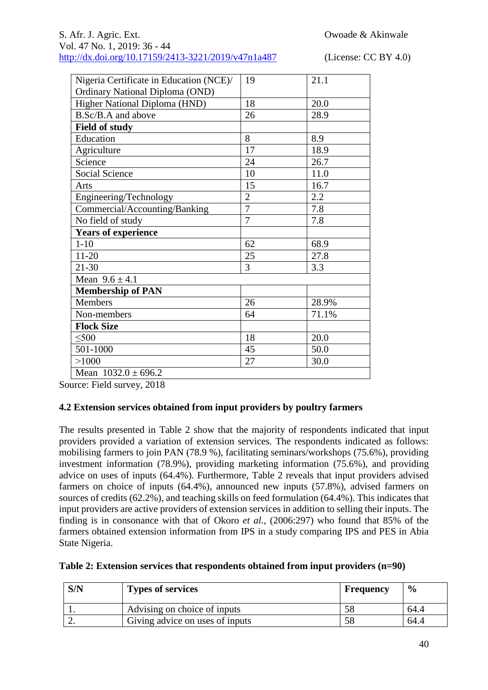| Nigeria Certificate in Education (NCE)/ | 19             | 21.1  |
|-----------------------------------------|----------------|-------|
| Ordinary National Diploma (OND)         |                |       |
| Higher National Diploma (HND)           | 18             | 20.0  |
| B.Sc/B.A and above                      | 26             | 28.9  |
| <b>Field of study</b>                   |                |       |
| Education                               | 8              | 8.9   |
| Agriculture                             | 17             | 18.9  |
| Science                                 | 24             | 26.7  |
| <b>Social Science</b>                   | 10             | 11.0  |
| Arts                                    | 15             | 16.7  |
| Engineering/Technology                  | $\overline{2}$ | 2.2   |
| Commercial/Accounting/Banking           | $\overline{7}$ | 7.8   |
| No field of study                       | $\overline{7}$ | 7.8   |
| <b>Years of experience</b>              |                |       |
| $1 - 10$                                | 62             | 68.9  |
| $11 - 20$                               | 25             | 27.8  |
| $21 - 30$                               | 3              | 3.3   |
| Mean $9.6 \pm 4.1$                      |                |       |
| <b>Membership of PAN</b>                |                |       |
| Members                                 | 26             | 28.9% |
| Non-members                             | 64             | 71.1% |
| <b>Flock Size</b>                       |                |       |
| $\leq 500$                              | 18             | 20.0  |
| 501-1000                                | 45             | 50.0  |
| >1000                                   | 27             | 30.0  |
| Mean $1032.0 \pm 696.2$                 |                |       |

Source: Field survey, 2018

# **4.2 Extension services obtained from input providers by poultry farmers**

The results presented in Table 2 show that the majority of respondents indicated that input providers provided a variation of extension services. The respondents indicated as follows: mobilising farmers to join PAN (78.9 %), facilitating seminars/workshops (75.6%), providing investment information (78.9%), providing marketing information (75.6%), and providing advice on uses of inputs (64.4%). Furthermore, Table 2 reveals that input providers advised farmers on choice of inputs (64.4%), announced new inputs (57.8%), advised farmers on sources of credits (62.2%), and teaching skills on feed formulation (64.4%). This indicates that input providers are active providers of extension services in addition to selling their inputs. The finding is in consonance with that of Okoro *et al.,* (2006:297) who found that 85% of the farmers obtained extension information from IPS in a study comparing IPS and PES in Abia State Nigeria.

| Table 2: Extension services that respondents obtained from input providers (n=90) |  |  |  |  |
|-----------------------------------------------------------------------------------|--|--|--|--|
|                                                                                   |  |  |  |  |

| S/N | <b>Types of services</b>        | <b>Frequency</b> | $\frac{6}{9}$ |
|-----|---------------------------------|------------------|---------------|
|     | Advising on choice of inputs    | Эč               | 64.4          |
| ∠.  | Giving advice on uses of inputs |                  | 64.4          |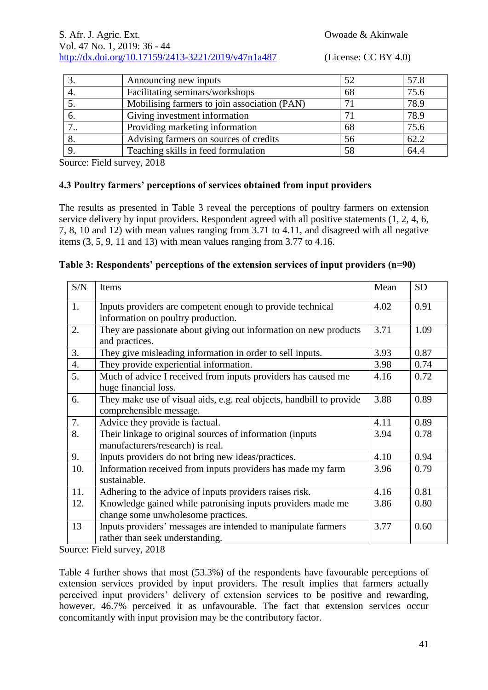|     | Announcing new inputs                        | 52 | 57.8 |
|-----|----------------------------------------------|----|------|
|     | Facilitating seminars/workshops              | 68 | 75.6 |
|     | Mobilising farmers to join association (PAN) |    | 78.9 |
| O.  | Giving investment information                |    | 78.9 |
| ٠., | Providing marketing information              | 68 | 75.6 |
|     | Advising farmers on sources of credits       | 56 | 62.2 |
|     | Teaching skills in feed formulation          | 58 | 64.4 |

Source: Field survey, 2018

# **4.3 Poultry farmers' perceptions of services obtained from input providers**

The results as presented in Table 3 reveal the perceptions of poultry farmers on extension service delivery by input providers. Respondent agreed with all positive statements (1, 2, 4, 6, 7, 8, 10 and 12) with mean values ranging from 3.71 to 4.11, and disagreed with all negative items (3, 5, 9, 11 and 13) with mean values ranging from 3.77 to 4.16.

| Table 3: Respondents' perceptions of the extension services of input providers (n=90) |  |  |  |  |  |
|---------------------------------------------------------------------------------------|--|--|--|--|--|
|---------------------------------------------------------------------------------------|--|--|--|--|--|

| S/N              | Items                                                                                             | Mean | <b>SD</b> |
|------------------|---------------------------------------------------------------------------------------------------|------|-----------|
| 1.               | Inputs providers are competent enough to provide technical<br>information on poultry production.  | 4.02 | 0.91      |
| 2.               | They are passionate about giving out information on new products<br>and practices.                | 3.71 | 1.09      |
| 3.               | They give misleading information in order to sell inputs.                                         | 3.93 | 0.87      |
| $\overline{4}$ . | They provide experiential information.                                                            | 3.98 | 0.74      |
| 5.               | Much of advice I received from inputs providers has caused me<br>huge financial loss.             | 4.16 | 0.72      |
| 6.               | They make use of visual aids, e.g. real objects, handbill to provide<br>comprehensible message.   | 3.88 | 0.89      |
| 7.               | Advice they provide is factual.                                                                   | 4.11 | 0.89      |
| 8.               | Their linkage to original sources of information (inputs<br>manufacturers/research) is real.      | 3.94 | 0.78      |
| 9.               | Inputs providers do not bring new ideas/practices.                                                | 4.10 | 0.94      |
| 10.              | Information received from inputs providers has made my farm<br>sustainable.                       | 3.96 | 0.79      |
| 11.              | Adhering to the advice of inputs providers raises risk.                                           | 4.16 | 0.81      |
| 12.              | Knowledge gained while patronising inputs providers made me<br>change some unwholesome practices. | 3.86 | 0.80      |
| 13               | Inputs providers' messages are intended to manipulate farmers<br>rather than seek understanding.  | 3.77 | 0.60      |

Source: Field survey, 2018

Table 4 further shows that most (53.3%) of the respondents have favourable perceptions of extension services provided by input providers. The result implies that farmers actually perceived input providers' delivery of extension services to be positive and rewarding, however, 46.7% perceived it as unfavourable. The fact that extension services occur concomitantly with input provision may be the contributory factor.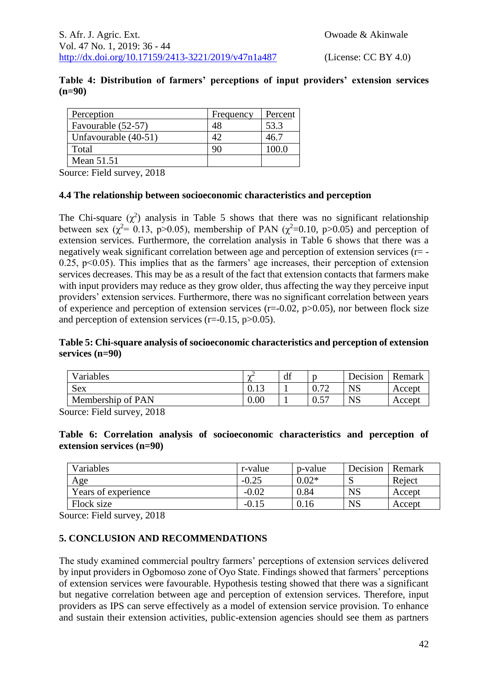|          | Table 4: Distribution of farmers' perceptions of input providers' extension services |  |  |  |  |
|----------|--------------------------------------------------------------------------------------|--|--|--|--|
| $(n=90)$ |                                                                                      |  |  |  |  |

| Perception           | Frequency | Percent |
|----------------------|-----------|---------|
| Favourable (52-57)   | 48        | 53.3    |
| Unfavourable (40-51) | 42        | 46.7    |
| Total                | 90        | 100.0   |
| Mean 51.51           |           |         |

Source: Field survey, 2018

#### **4.4 The relationship between socioeconomic characteristics and perception**

The Chi-square  $(\chi^2)$  analysis in Table 5 shows that there was no significant relationship between sex ( $\chi^2$ = 0.13, p>0.05), membership of PAN ( $\chi^2$ =0.10, p>0.05) and perception of extension services. Furthermore, the correlation analysis in Table 6 shows that there was a negatively weak significant correlation between age and perception of extension services (r= - 0.25,  $p<0.05$ ). This implies that as the farmers' age increases, their perception of extension services decreases. This may be as a result of the fact that extension contacts that farmers make with input providers may reduce as they grow older, thus affecting the way they perceive input providers' extension services. Furthermore, there was no significant correlation between years of experience and perception of extension services ( $r=-0.02$ ,  $p>0.05$ ), nor between flock size and perception of extension services  $(r=0.15, p>0.05)$ .

#### **Table 5: Chi-square analysis of socioeconomic characteristics and perception of extension services (n=90)**

| Variables         | $\Delta t$             | df |                          | Decision  | Remark |
|-------------------|------------------------|----|--------------------------|-----------|--------|
| <b>Sex</b>        | $\bigcap$ 1. $\bigcap$ |    | $\overline{\phantom{a}}$ | <b>NS</b> | Accept |
| Membership of PAN | $0.00\,$               |    | ∪.∪                      | <b>NS</b> | Accept |

Source: Field survey, 2018

#### **Table 6: Correlation analysis of socioeconomic characteristics and perception of extension services (n=90)**

| Variables           | r-value | p-value | Decision  | Remark |
|---------------------|---------|---------|-----------|--------|
| Age                 | $-0.25$ | $0.02*$ | ື         | Reject |
| Years of experience | $-0.02$ | 0.84    | <b>NS</b> | Accept |
| Flock size          | $-0.15$ | 0.16    | <b>NS</b> | Accept |

Source: Field survey, 2018

# **5. CONCLUSION AND RECOMMENDATIONS**

The study examined commercial poultry farmers' perceptions of extension services delivered by input providers in Ogbomoso zone of Oyo State. Findings showed that farmers' perceptions of extension services were favourable. Hypothesis testing showed that there was a significant but negative correlation between age and perception of extension services. Therefore, input providers as IPS can serve effectively as a model of extension service provision. To enhance and sustain their extension activities, public-extension agencies should see them as partners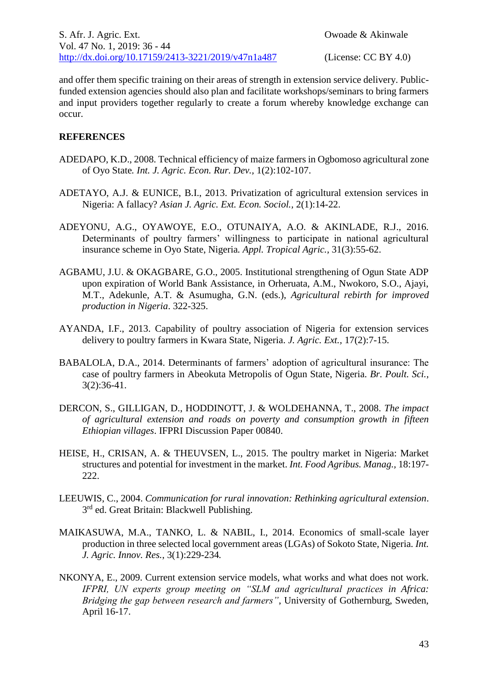and offer them specific training on their areas of strength in extension service delivery. Publicfunded extension agencies should also plan and facilitate workshops/seminars to bring farmers and input providers together regularly to create a forum whereby knowledge exchange can occur.

# **REFERENCES**

- ADEDAPO, K.D., 2008. Technical efficiency of maize farmers in Ogbomoso agricultural zone of Oyo State*. Int. J. Agric. Econ. Rur. Dev.,* 1(2):102-107.
- ADETAYO, A.J. & EUNICE, B.I., 2013. Privatization of agricultural extension services in Nigeria: A fallacy? *Asian J. Agric. Ext. Econ. Sociol.,* 2(1):14-22.
- ADEYONU, A.G., OYAWOYE, E.O., OTUNAIYA, A.O. & AKINLADE, R.J., 2016. Determinants of poultry farmers' willingness to participate in national agricultural insurance scheme in Oyo State, Nigeria*. Appl. Tropical Agric.,* 31(3):55-62.
- AGBAMU, J.U. & OKAGBARE, G.O., 2005. Institutional strengthening of Ogun State ADP upon expiration of World Bank Assistance, in Orheruata, A.M., Nwokoro, S.O., Ajayi, M.T., Adekunle, A.T. & Asumugha, G.N. (eds.), *Agricultural rebirth for improved production in Nigeria*. 322-325.
- AYANDA, I.F., 2013. Capability of poultry association of Nigeria for extension services delivery to poultry farmers in Kwara State, Nigeria. *J. Agric. Ext.,* 17(2):7-15.
- BABALOLA, D.A., 2014. Determinants of farmers' adoption of agricultural insurance: The case of poultry farmers in Abeokuta Metropolis of Ogun State, Nigeria. *Br. Poult. Sci.,* 3(2):36-41.
- DERCON, S., GILLIGAN, D., HODDINOTT, J. & WOLDEHANNA, T., 2008. *The impact of agricultural extension and roads on poverty and consumption growth in fifteen Ethiopian villages*. IFPRI Discussion Paper 00840.
- HEISE, H., CRISAN, A. & THEUVSEN, L., 2015. The poultry market in Nigeria: Market structures and potential for investment in the market. *Int. Food Agribus. Manag.,* 18:197- 222.
- LEEUWIS, C., 2004. *Communication for rural innovation: Rethinking agricultural extension*. 3<sup>rd</sup> ed. Great Britain: Blackwell Publishing.
- MAIKASUWA, M.A., TANKO, L. & NABIL, I., 2014. Economics of small-scale layer production in three selected local government areas (LGAs) of Sokoto State, Nigeria. *Int. J. Agric. Innov. Res.*, 3(1):229-234*.*
- NKONYA, E., 2009. Current extension service models, what works and what does not work. *IFPRI, UN experts group meeting on "SLM and agricultural practices in Africa: Bridging the gap between research and farmers"*, University of Gothernburg, Sweden, April 16-17.